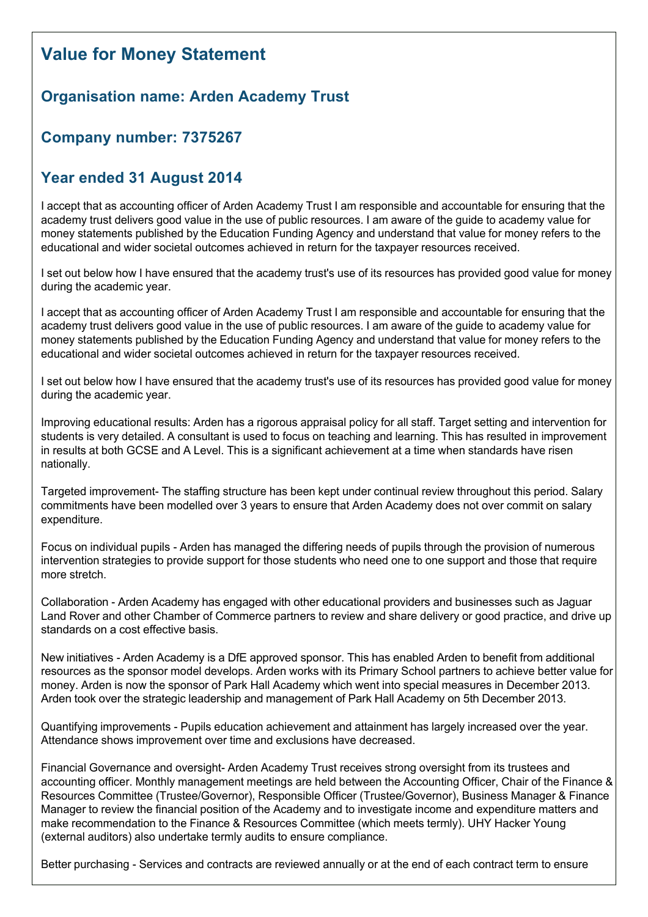## **Value for Money Statement**

## **Organisation name: Arden Academy Trust**

## **Company number: 7375267**

## **Year ended 31 August 2014**

I accept that as accounting officer of Arden Academy Trust I am responsible and accountable for ensuring that the academy trust delivers good value in the use of public resources. I am aware of the guide to academy value for money statements published by the Education Funding Agency and understand that value for money refers to the educational and wider societal outcomes achieved in return for the taxpayer resources received.

I set out below how I have ensured that the academy trust's use of its resources has provided good value for money during the academic year.

I accept that as accounting officer of Arden Academy Trust I am responsible and accountable for ensuring that the academy trust delivers good value in the use of public resources. I am aware of the guide to academy value for money statements published by the Education Funding Agency and understand that value for money refers to the educational and wider societal outcomes achieved in return for the taxpayer resources received.

I set out below how I have ensured that the academy trust's use of its resources has provided good value for money during the academic year.

Improving educational results: Arden has a rigorous appraisal policy for all staff. Target setting and intervention for students is very detailed. A consultant is used to focus on teaching and learning. This has resulted in improvement in results at both GCSE and A Level. This is a significant achievement at a time when standards have risen nationally.

Targeted improvement-The staffing structure has been kept under continual review throughout this period. Salary commitments have been modelled over 3 years to ensure that Arden Academy does not over commit on salary expenditure.

Focus on individual pupils Arden has managed the differing needs of pupils through the provision of numerous intervention strategies to provide support for those students who need one to one support and those that require more stretch.

Collaboration Arden Academy has engaged with other educational providers and businesses such as Jaguar Land Rover and other Chamber of Commerce partners to review and share delivery or good practice, and drive up standards on a cost effective basis.

New initiatives Arden Academy is a DfE approved sponsor. This has enabled Arden to benefit from additional resources as the sponsor model develops. Arden works with its Primary School partners to achieve better value for money. Arden is now the sponsor of Park Hall Academy which went into special measures in December 2013. Arden took over the strategic leadership and management of Park Hall Academy on 5th December 2013.

Quantifying improvements - Pupils education achievement and attainment has largely increased over the year. Attendance shows improvement over time and exclusions have decreased.

Financial Governance and oversight- Arden Academy Trust receives strong oversight from its trustees and accounting officer. Monthly management meetings are held between the Accounting Officer, Chair of the Finance & Resources Committee (Trustee/Governor), Responsible Officer (Trustee/Governor), Business Manager & Finance Manager to review the financial position of the Academy and to investigate income and expenditure matters and make recommendation to the Finance & Resources Committee (which meets termly). UHY Hacker Young (external auditors) also undertake termly audits to ensure compliance.

Better purchasing - Services and contracts are reviewed annually or at the end of each contract term to ensure